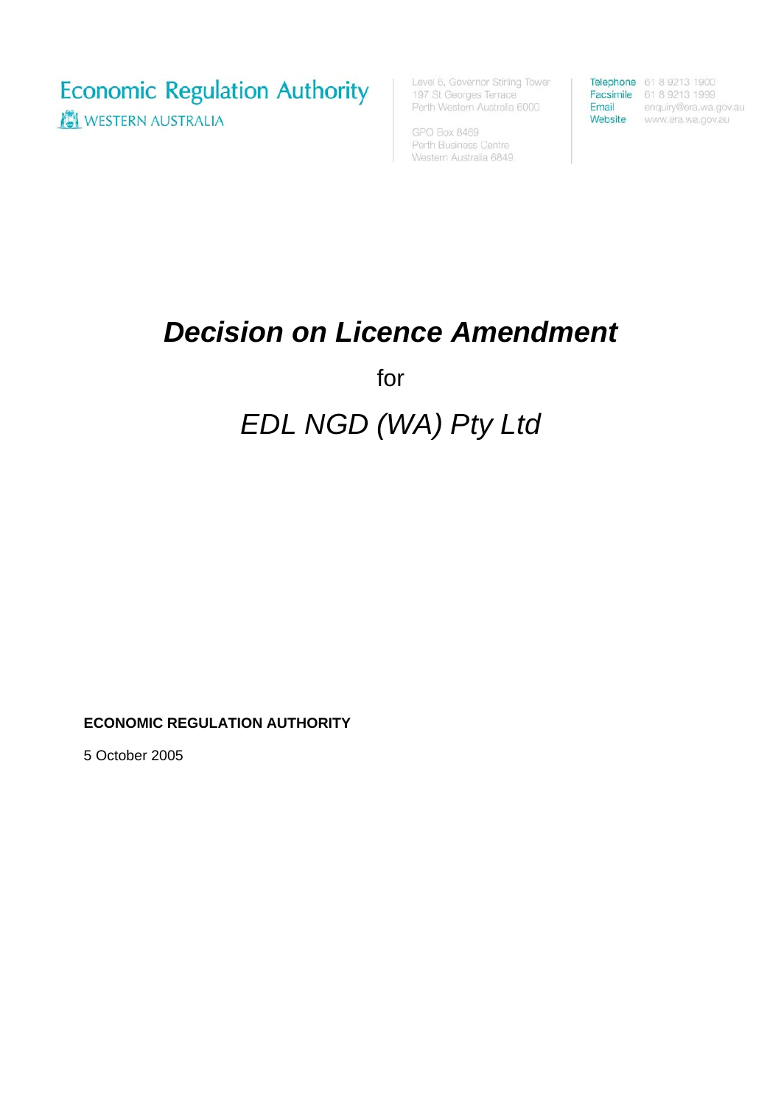**Economic Regulation Authority** WESTERN AUSTRALIA

Level 6, Governor Stirling Tower 197 St Georges Terrace Perth Western Australia 6000

GPO Box 8469 Perth Business Centre Western Australia 6849

**Telephone** 61 8 9213 1900<br> **Facsimile** 61 8 9213 1999<br> **Email** enquiry@era.wa.gov.au Website www.era.wa.gov.au

## *Decision on Licence Amendment*

for

## *EDL NGD (WA) Pty Ltd*

**ECONOMIC REGULATION AUTHORITY** 

5 October 2005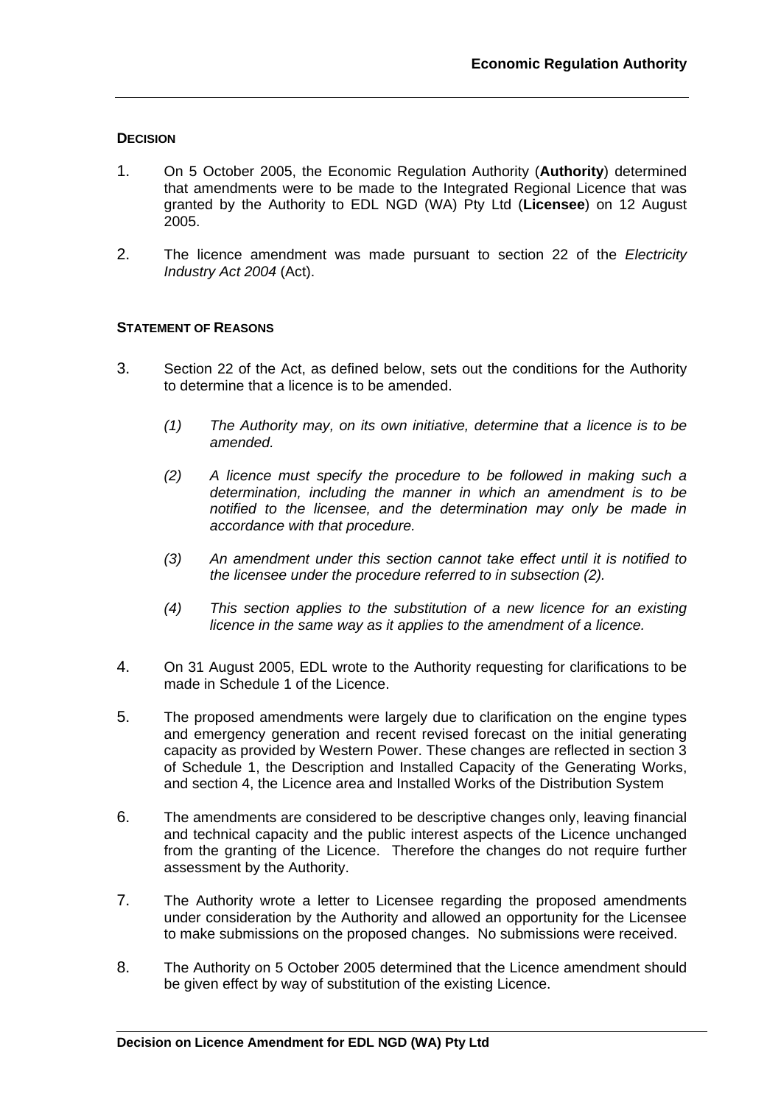## **DECISION**

- 1. On 5 October 2005, the Economic Regulation Authority (**Authority**) determined that amendments were to be made to the Integrated Regional Licence that was granted by the Authority to EDL NGD (WA) Pty Ltd (**Licensee**) on 12 August 2005.
- 2. The licence amendment was made pursuant to section 22 of the *Electricity Industry Act 2004* (Act).

## **STATEMENT OF REASONS**

- 3. Section 22 of the Act, as defined below, sets out the conditions for the Authority to determine that a licence is to be amended.
	- *(1) The Authority may, on its own initiative, determine that a licence is to be amended.*
	- *(2) A licence must specify the procedure to be followed in making such a determination, including the manner in which an amendment is to be notified to the licensee, and the determination may only be made in accordance with that procedure.*
	- *(3) An amendment under this section cannot take effect until it is notified to the licensee under the procedure referred to in subsection (2).*
	- *(4) This section applies to the substitution of a new licence for an existing licence in the same way as it applies to the amendment of a licence.*
- 4. On 31 August 2005, EDL wrote to the Authority requesting for clarifications to be made in Schedule 1 of the Licence.
- 5. The proposed amendments were largely due to clarification on the engine types and emergency generation and recent revised forecast on the initial generating capacity as provided by Western Power. These changes are reflected in section 3 of Schedule 1, the Description and Installed Capacity of the Generating Works, and section 4, the Licence area and Installed Works of the Distribution System
- 6. The amendments are considered to be descriptive changes only, leaving financial and technical capacity and the public interest aspects of the Licence unchanged from the granting of the Licence. Therefore the changes do not require further assessment by the Authority.
- 7. The Authority wrote a letter to Licensee regarding the proposed amendments under consideration by the Authority and allowed an opportunity for the Licensee to make submissions on the proposed changes. No submissions were received.
- 8. The Authority on 5 October 2005 determined that the Licence amendment should be given effect by way of substitution of the existing Licence.